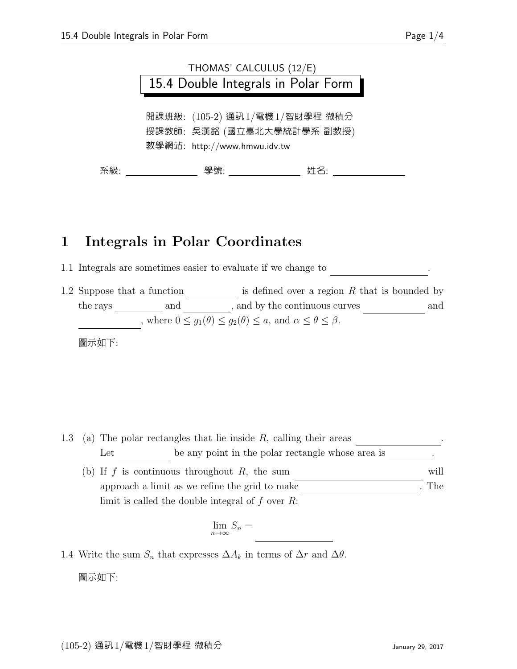

## 1 Integrals in Polar Coordinates

1.1 Integrals are sometimes easier to evaluate if we change to

1.2 Suppose that a function is defined over a region  $R$  that is bounded by the rays <u>equal</u> and  $\qquad \qquad$ , and by the continuous curves and , where  $0 \leq g_1(\theta) \leq g_2(\theta) \leq a$ , and  $\alpha \leq \theta \leq \beta$ .

圖示如下:

- 1.3 (a) The polar rectangles that lie inside  $R$ , calling their areas . Let  $\qquad \qquad$  be any point in the polar rectangle whose area is  $\qquad \qquad$ . (b) If  $f$  is continuous throughout  $R$ , the sum will approach a limit as we refine the grid to make  $\therefore$  The
	- limit is called the double integral of  $f$  over  $R$ :

$$
\lim_{n \to \infty} S_n =
$$

1.4 Write the sum  $S_n$  that expresses  $\Delta A_k$  in terms of  $\Delta r$  and  $\Delta \theta$ . 圖示如下: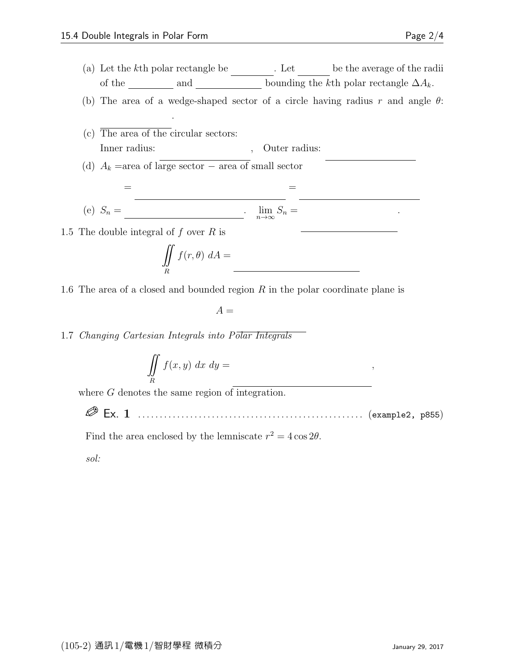- (a) Let the k<sup>th</sup> polar rectangle be  $\_\_\_\_\_\_\_\_\_\_\_\_\_\_\_\_\_\_\_\_\_\_\_\_\_\_\_\_\_\_\_\_\_\_\_\_$ of the inner and inner arcs bounding the kth polar rectangle  $\Delta A_k$ .
- (b) The area of a wedge-shaped sector of a circle having radius r and angle  $\theta$ :

 $\equiv$ 

2

2

 $\overline{\phantom{a}}$ 

2

f(r, etc.) and define

- 2 (c) The area of the circular sectors: Inner radius: 2 2 Outer radius:
- (d)  $A_k$  =area of large sector − area of small sector

.

(e) 
$$
S_n = \overline{\qquad \qquad \qquad \qquad \qquad \qquad \qquad \qquad \qquad \qquad \sum_{n \to \infty} S_n =
$$

1.5 The double integral of  $f$  over  $R$  is

=

$$
\iint\limits_R f(r,\theta) \ dA =
$$

1.6 The area of a closed and bounded region R in the polar coordinate plane is

 $A =$ 

1.7 Changing Cartesian Integrals into Polar Integrals

$$
\iint\limits_R f(x,y) \ dx \ dy =
$$

where G denotes the same region of integration.

Ex. 1 . . . . . . . . . . . . . . . . . . . . . . . . . . . . . . . . . . . . . . . . . . . . . . . . . . . . (example2, p855)

Find the area enclosed by the lemniscate  $r^2 = 4 \cos 2\theta$ .

sol: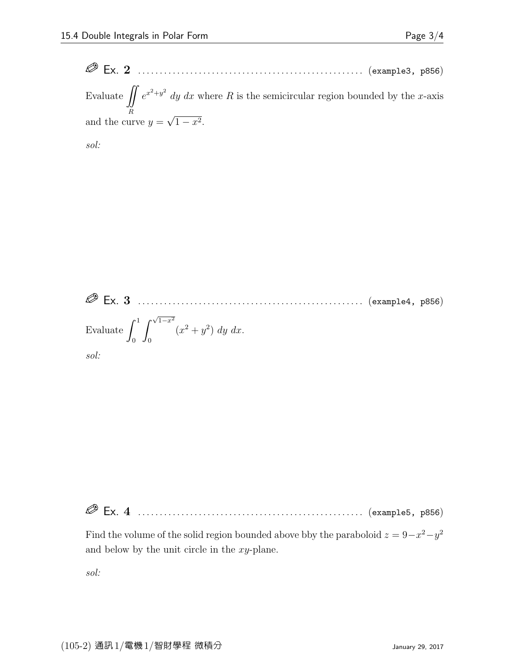sol:

 Ex. 3 . . . . . . . . . . . . . . . . . . . . . . . . . . . . . . . . . . . . . . . . . . . . . . . . . . . . (example4, p856) Evaluate - 1 0 - √ 1−x<sup>2</sup> 0 (x <sup>2</sup> + y 2 ) dy dx. sol:

Ex. 4 . . . . . . . . . . . . . . . . . . . . . . . . . . . . . . . . . . . . . . . . . . . . . . . . . . . . (example5, p856)

Find the volume of the solid region bounded above bby the paraboloid  $z = 9 - x^2 - y^2$ and below by the unit circle in the xy-plane.

sol: